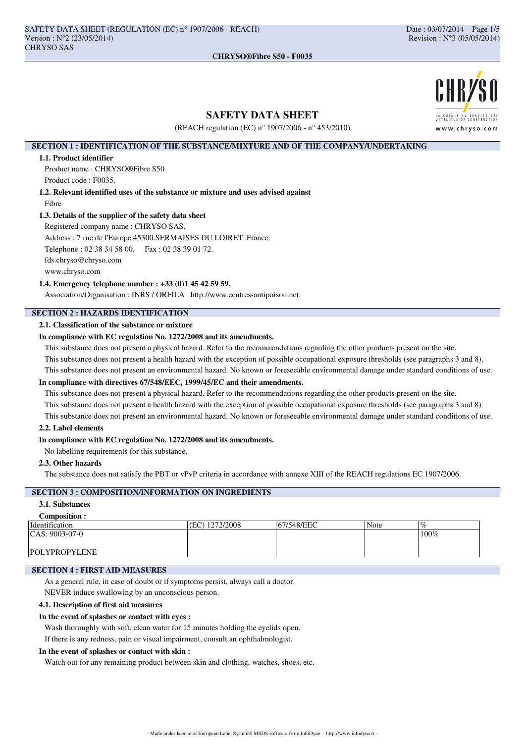

# **SAFETY DATA SHEET**

(REACH regulation (EC) n° 1907/2006 - n° 453/2010)

## **SECTION 1 : IDENTIFICATION OF THE SUBSTANCE/MIXTURE AND OF THE COMPANY/UNDERTAKING**

#### **1.1. Product identifier**

Product name : CHRYSO®Fibre S50 Product code : F0035.

**1.2. Relevant identified uses of the substance or mixture and uses advised against** Fibre

#### **1.3. Details of the supplier of the safety data sheet**

Registered company name : CHRYSO SAS.

Address : 7 rue de l'Europe.45300.SERMAISES DU LOIRET .France.

Telephone : 02 38 34 58 00. Fax : 02 38 39 01 72.

fds.chryso@chryso.com

www.chryso.com

#### **1.4. Emergency telephone number : +33 (0)1 45 42 59 59.**

Association/Organisation : INRS / ORFILA http://www.centres-antipoison.net.

# **SECTION 2 : HAZARDS IDENTIFICATION**

## **2.1. Classification of the substance or mixture**

## **In compliance with EC regulation No. 1272/2008 and its amendments.**

This substance does not present a physical hazard. Refer to the recommendations regarding the other products present on the site.

This substance does not present a health hazard with the exception of possible occupational exposure thresholds (see paragraphs 3 and 8).

This substance does not present an environmental hazard. No known or foreseeable environmental damage under standard conditions of use.

# **In compliance with directives 67/548/EEC, 1999/45/EC and their amendments.**

This substance does not present a physical hazard. Refer to the recommendations regarding the other products present on the site. This substance does not present a health hazard with the exception of possible occupational exposure thresholds (see paragraphs 3 and 8).

This substance does not present an environmental hazard. No known or foreseeable environmental damage under standard conditions of use.

## **2.2. Label elements**

#### **In compliance with EC regulation No. 1272/2008 and its amendments.**

No labelling requirements for this substance.

## **2.3. Other hazards**

The substance does not satisfy the PBT or vPvP criteria in accordance with annexe XIII of the REACH regulations EC 1907/2006.

## **SECTION 3 : COMPOSITION/INFORMATION ON INGREDIENTS**

## **3.1. Substances**

#### **Composition :**<br>Identification Identification (EC) 1272/2008 67/548/EEC Note CAS: 9003-07-0 POLYPROPYLENE 100%

## **SECTION 4 : FIRST AID MEASURES**

As a general rule, in case of doubt or if symptoms persist, always call a doctor.

NEVER induce swallowing by an unconscious person.

## **4.1. Description of first aid measures**

## **In the event of splashes or contact with eyes :**

Wash thoroughly with soft, clean water for 15 minutes holding the eyelids open.

If there is any redness, pain or visual impairment, consult an ophthalmologist.

## **In the event of splashes or contact with skin :**

Watch out for any remaining product between skin and clothing, watches, shoes, etc.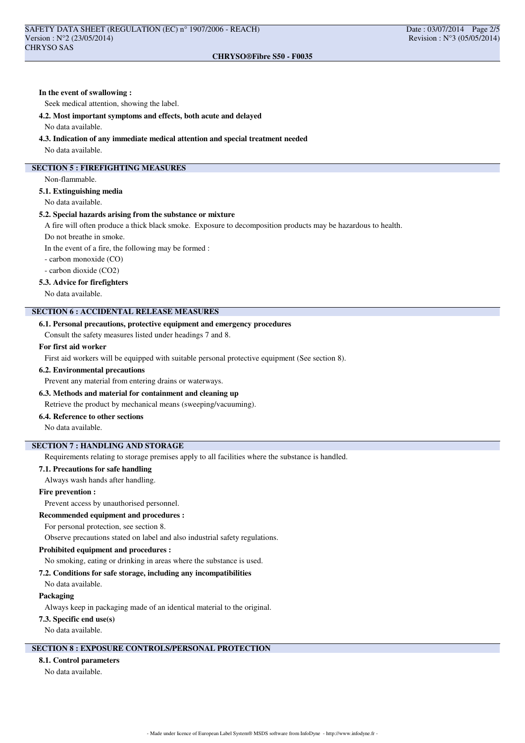# **In the event of swallowing :**

Seek medical attention, showing the label.

#### **4.2. Most important symptoms and effects, both acute and delayed**

No data available.

#### **4.3. Indication of any immediate medical attention and special treatment needed**

No data available.

## **SECTION 5 : FIREFIGHTING MEASURES**

Non-flammable.

## **5.1. Extinguishing media**

No data available.

#### **5.2. Special hazards arising from the substance or mixture**

A fire will often produce a thick black smoke. Exposure to decomposition products may be hazardous to health.

Do not breathe in smoke.

In the event of a fire, the following may be formed :

- carbon monoxide (CO)

- carbon dioxide (CO2)

#### **5.3. Advice for firefighters**

No data available.

#### **SECTION 6 : ACCIDENTAL RELEASE MEASURES**

#### **6.1. Personal precautions, protective equipment and emergency procedures**

Consult the safety measures listed under headings 7 and 8.

### **For first aid worker**

First aid workers will be equipped with suitable personal protective equipment (See section 8).

### **6.2. Environmental precautions**

Prevent any material from entering drains or waterways.

### **6.3. Methods and material for containment and cleaning up**

Retrieve the product by mechanical means (sweeping/vacuuming).

## **6.4. Reference to other sections**

No data available.

#### **SECTION 7 : HANDLING AND STORAGE**

Requirements relating to storage premises apply to all facilities where the substance is handled.

#### **7.1. Precautions for safe handling**

Always wash hands after handling.

#### **Fire prevention :**

Prevent access by unauthorised personnel.

## **Recommended equipment and procedures :**

For personal protection, see section 8.

Observe precautions stated on label and also industrial safety regulations.

## **Prohibited equipment and procedures :**

No smoking, eating or drinking in areas where the substance is used.

#### **7.2. Conditions for safe storage, including any incompatibilities**

No data available.

#### **Packaging**

Always keep in packaging made of an identical material to the original.

#### **7.3. Specific end use(s)**

No data available.

## **SECTION 8 : EXPOSURE CONTROLS/PERSONAL PROTECTION**

### **8.1. Control parameters**

No data available.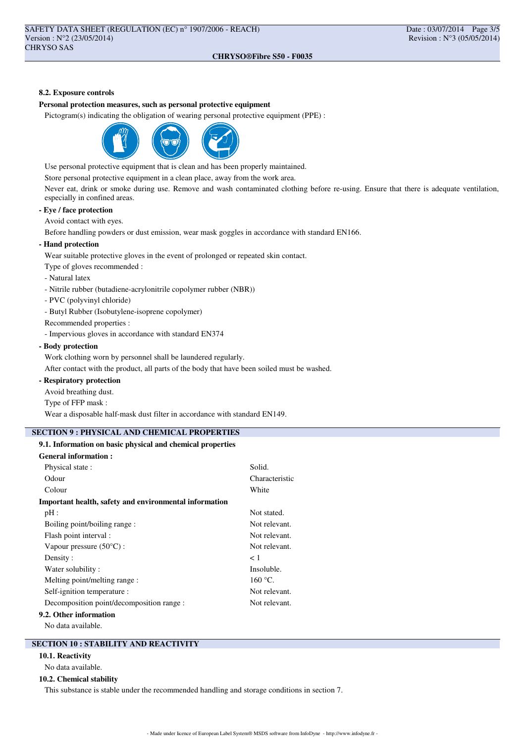#### **CHRYSO®Fibre S50 - F0035**

### **8.2. Exposure controls**

### **Personal protection measures, such as personal protective equipment**

Pictogram(s) indicating the obligation of wearing personal protective equipment (PPE) :



Use personal protective equipment that is clean and has been properly maintained.

Store personal protective equipment in a clean place, away from the work area.

Never eat, drink or smoke during use. Remove and wash contaminated clothing before re-using. Ensure that there is adequate ventilation, especially in confined areas.

## **- Eye / face protection**

Avoid contact with eyes.

Before handling powders or dust emission, wear mask goggles in accordance with standard EN166.

#### **- Hand protection**

Wear suitable protective gloves in the event of prolonged or repeated skin contact.

Type of gloves recommended :

- Natural latex
- Nitrile rubber (butadiene-acrylonitrile copolymer rubber (NBR))
- PVC (polyvinyl chloride)
- Butyl Rubber (Isobutylene-isoprene copolymer)
- Recommended properties :

- Impervious gloves in accordance with standard EN374

## **- Body protection**

Work clothing worn by personnel shall be laundered regularly.

After contact with the product, all parts of the body that have been soiled must be washed.

## **- Respiratory protection**

Avoid breathing dust.

Type of FFP mask :

Wear a disposable half-mask dust filter in accordance with standard EN149.

# **SECTION 9 : PHYSICAL AND CHEMICAL PROPERTIES**

## **9.1. Information on basic physical and chemical properties**

#### **General information :**

| Physical state:                                        | Solid.         |
|--------------------------------------------------------|----------------|
| Odour                                                  | Characteristic |
| Colour                                                 | White          |
| Important health, safety and environmental information |                |
| pH:                                                    | Not stated.    |
| Boiling point/boiling range:                           | Not relevant.  |
| Flash point interval :                                 | Not relevant.  |
| Vapour pressure $(50^{\circ}C)$ :                      | Not relevant.  |
| Density:                                               | < 1            |
| Water solubility:                                      | Insoluble.     |
| Melting point/melting range:                           | $160 °C$ .     |
| Self-ignition temperature :                            | Not relevant.  |
| Decomposition point/decomposition range :              | Not relevant.  |
| 9.2. Other information                                 |                |
|                                                        |                |

No data available.

## **SECTION 10 : STABILITY AND REACTIVITY**

#### **10.1. Reactivity**

No data available.

## **10.2. Chemical stability**

This substance is stable under the recommended handling and storage conditions in section 7.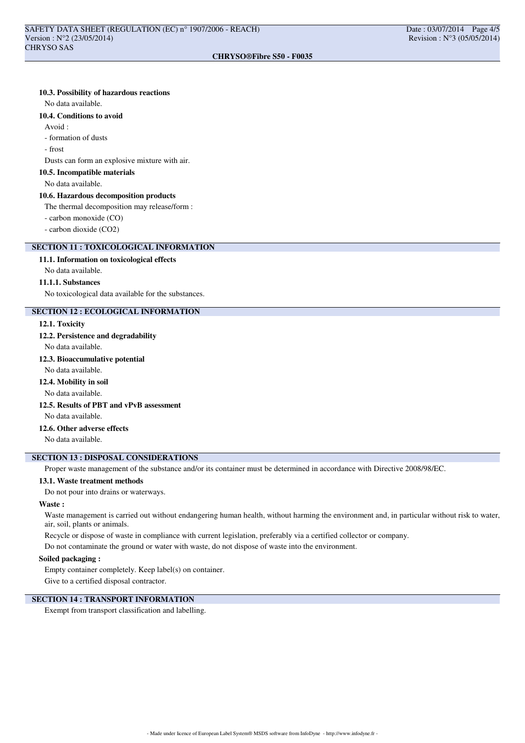## **10.3. Possibility of hazardous reactions**

No data available.

#### **10.4. Conditions to avoid**

Avoid :

- formation of dusts

- frost

Dusts can form an explosive mixture with air.

## **10.5. Incompatible materials**

No data available.

#### **10.6. Hazardous decomposition products**

The thermal decomposition may release/form :

- carbon monoxide (CO)

- carbon dioxide (CO2)

# **SECTION 11 : TOXICOLOGICAL INFORMATION**

**11.1. Information on toxicological effects**

No data available.

#### **11.1.1. Substances**

No toxicological data available for the substances.

#### **SECTION 12 : ECOLOGICAL INFORMATION**

#### **12.1. Toxicity**

**12.2. Persistence and degradability**

No data available.

## **12.3. Bioaccumulative potential**

No data available.

## **12.4. Mobility in soil**

No data available.

# **12.5. Results of PBT and vPvB assessment**

No data available.

## **12.6. Other adverse effects**

No data available.

### **SECTION 13 : DISPOSAL CONSIDERATIONS**

Proper waste management of the substance and/or its container must be determined in accordance with Directive 2008/98/EC.

## **13.1. Waste treatment methods**

Do not pour into drains or waterways.

#### **Waste :**

Waste management is carried out without endangering human health, without harming the environment and, in particular without risk to water, air, soil, plants or animals.

Recycle or dispose of waste in compliance with current legislation, preferably via a certified collector or company.

Do not contaminate the ground or water with waste, do not dispose of waste into the environment.

#### **Soiled packaging :**

Empty container completely. Keep label(s) on container.

Give to a certified disposal contractor.

## **SECTION 14 : TRANSPORT INFORMATION**

Exempt from transport classification and labelling.